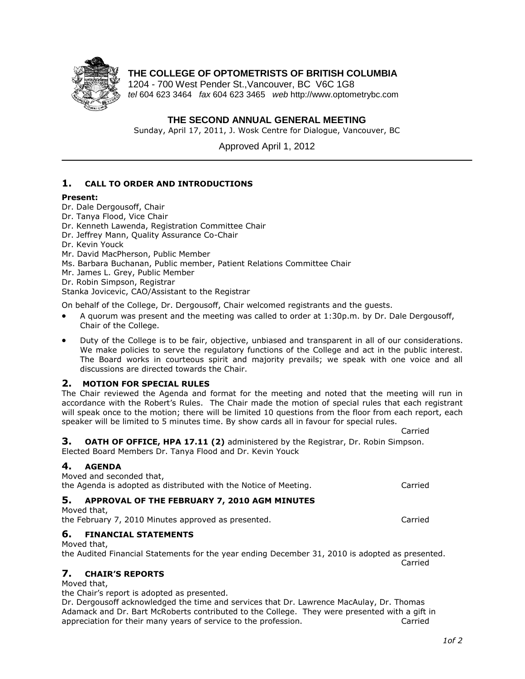

# **THE COLLEGE OF OPTOMETRISTS OF BRITISH COLUMBIA**

1204 - 700 West Pender St.,Vancouver, BC V6C 1G8 *tel* 604 623 3464 *fax* 604 623 3465 *web* http://www.optometrybc.com

## **THE SECOND ANNUAL GENERAL MEETING**

Sunday, April 17, 2011, J. Wosk Centre for Dialogue, Vancouver, BC

Approved April 1, 2012

## **1. CALL TO ORDER AND INTRODUCTIONS**

#### **Present:**

- Dr. Dale Dergousoff, Chair
- Dr. Tanya Flood, Vice Chair

Dr. Kenneth Lawenda, Registration Committee Chair

- Dr. Jeffrey Mann, Quality Assurance Co-Chair
- Dr. Kevin Youck
- Mr. David MacPherson, Public Member
- Ms. Barbara Buchanan, Public member, Patient Relations Committee Chair
- Mr. James L. Grey, Public Member

Dr. Robin Simpson, Registrar

Stanka Jovicevic, CAO/Assistant to the Registrar

On behalf of the College, Dr. Dergousoff, Chair welcomed registrants and the guests.

- A quorum was present and the meeting was called to order at 1:30p.m. by Dr. Dale Dergousoff, Chair of the College.
- Duty of the College is to be fair, objective, unbiased and transparent in all of our considerations. We make policies to serve the regulatory functions of the College and act in the public interest. The Board works in courteous spirit and majority prevails; we speak with one voice and all discussions are directed towards the Chair.

#### **2. MOTION FOR SPECIAL RULES**

The Chair reviewed the Agenda and format for the meeting and noted that the meeting will run in accordance with the Robert's Rules. The Chair made the motion of special rules that each registrant will speak once to the motion; there will be limited 10 questions from the floor from each report, each speaker will be limited to 5 minutes time. By show cards all in favour for special rules.

**3. OATH OF OFFICE, HPA 17.11 (2)** administered by the Registrar, Dr. Robin Simpson. Elected Board Members Dr. Tanya Flood and Dr. Kevin Youck

## **4. AGENDA**

| Moved and seconded that,<br>the Agenda is adopted as distributed with the Notice of Meeting.                                              | Carried |
|-------------------------------------------------------------------------------------------------------------------------------------------|---------|
| 5. APPROVAL OF THE FEBRUARY 7, 2010 AGM MINUTES<br>Moved that,<br>the February 7, 2010 Minutes approved as presented.                     | Carried |
| 6. FINANCIAL STATEMENTS<br>Moved that,<br>the Audited Financial Statements for the year ending December 31, 2010 is adopted as presented. | Carried |
| 7. CHAIR'S REPORTS<br>Moved that,<br>the Chair's report is adopted as presented.                                                          |         |

Dr. Dergousoff acknowledged the time and services that Dr. Lawrence MacAulay, Dr. Thomas Adamack and Dr. Bart McRoberts contributed to the College. They were presented with a gift in appreciation for their many years of service to the profession. Carried

Carried